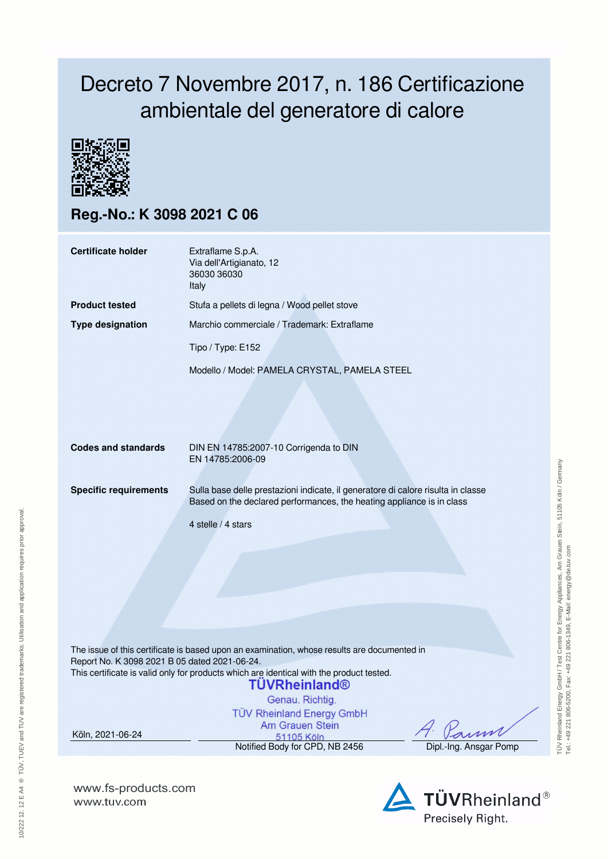## Decreto 7 Novembre 2017, n. 186 Certificazione ambientale del generatore di calore



**Reg.-No.: K 3098 2021 C 06**

| <b>Certificate holder</b>    | Extraflame S.p.A.<br>Via dell'Artigianato, 12<br>36030 36030<br>Italy                                                                                                           |  |  |  |  |
|------------------------------|---------------------------------------------------------------------------------------------------------------------------------------------------------------------------------|--|--|--|--|
| <b>Product tested</b>        | Stufa a pellets di legna / Wood pellet stove                                                                                                                                    |  |  |  |  |
| <b>Type designation</b>      | Marchio commerciale / Trademark: Extraflame                                                                                                                                     |  |  |  |  |
|                              | Tipo / Type: E152                                                                                                                                                               |  |  |  |  |
|                              | Modello / Model: PAMELA CRYSTAL, PAMELA STEEL                                                                                                                                   |  |  |  |  |
| <b>Codes and standards</b>   | DIN EN 14785:2007-10 Corrigenda to DIN<br>EN 14785:2006-09                                                                                                                      |  |  |  |  |
| <b>Specific requirements</b> | Sulla base delle prestazioni indicate, il generatore di calore risulta in classe<br>Based on the declared performances, the heating appliance is in class<br>4 stelle / 4 stars |  |  |  |  |

The issue of this certificate is based upon an examination, whose results are documented in Report No. K 3098 2021 B 05 dated 2021-06-24. This certificate is valid only for products which are identical with the product tested.

## **TUVRheinland®**

Genau, Richtig.

**TÜV Rheinland Energy GmbH** Am Grauen Stein 51105 Köln

Notified Body for CPD, NB 2456 Dipl.-Ing. Ansgar Pomp

Köln, 2021-06-24

**www.fs-products.com** www.tuv.com

TÜV Rheinland Energy GmbH / Test Centre for Energy Appliances, Am Grauen Stein, 51105 Köln / Germany<br>Tel: +49 221 806-5200, Fax: +49 221 806-1349, E-Mail: energy@de.tuv.com TÜV Rheinland Energy GmbH / Test Centre for Energy Appliances, Am Grauen Stein, 51105 Köln / Germany Tel.: +49 221 806-5200, Fax: +49 221 806-1349, E-Mail: energy@de.tuv.com



s A